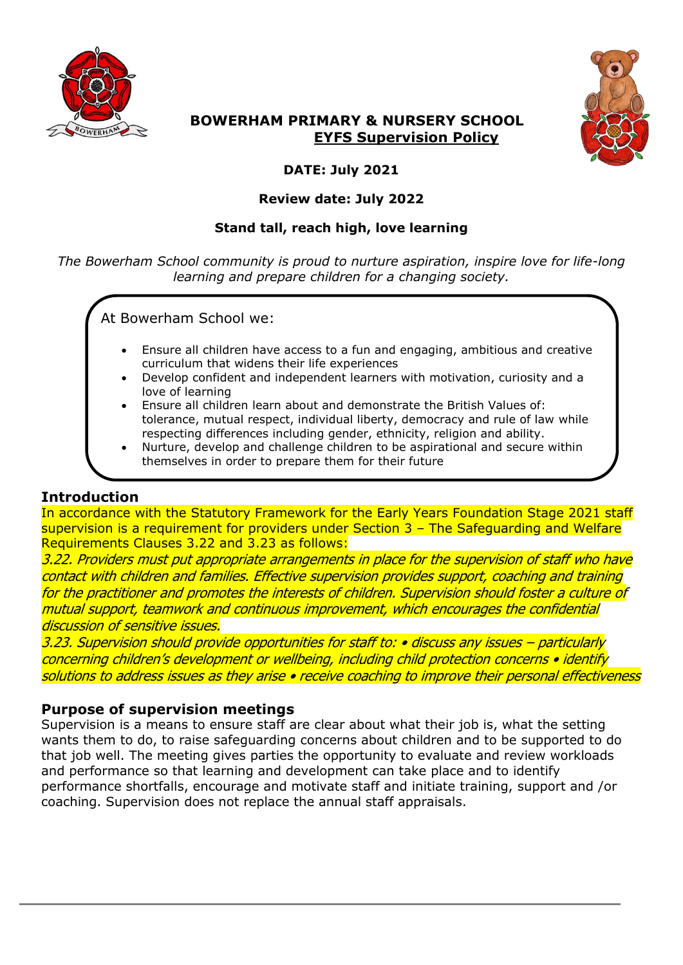



# **BOWERHAM PRIMARY & NURSERY SCHOOL EYFS Supervision Policy**

# **DATE: July 2021**

## **Review date: July 2022**

## **Stand tall, reach high, love learning**

*The Bowerham School community is proud to nurture aspiration, inspire love for life-long learning and prepare children for a changing society.*

At Bowerham School we:

- Ensure all children have access to a fun and engaging, ambitious and creative curriculum that widens their life experiences
- Develop confident and independent learners with motivation, curiosity and a love of learning
- Ensure all children learn about and demonstrate the British Values of: tolerance, mutual respect, individual liberty, democracy and rule of law while respecting differences including gender, ethnicity, religion and ability.
- Nurture, develop and challenge children to be aspirational and secure within themselves in order to prepare them for their future

# **Introduction**

In accordance with the Statutory Framework for the Early Years Foundation Stage 2021 staff supervision is a requirement for providers under Section 3 – The Safeguarding and Welfare Requirements Clauses 3.22 and 3.23 as follows:

3.22. Providers must put appropriate arrangements in place for the supervision of staff who have contact with children and families. Effective supervision provides support, coaching and training for the practitioner and promotes the interests of children. Supervision should foster a culture of mutual support, teamwork and continuous improvement, which encourages the confidential discussion of sensitive issues.

3.23. Supervision should provide opportunities for staff to: • discuss any issues – particularly concerning children's development or wellbeing, including child protection concerns • identify solutions to address issues as they arise • receive coaching to improve their personal effectiveness

# **Purpose of supervision meetings**

Supervision is a means to ensure staff are clear about what their job is, what the setting wants them to do, to raise safeguarding concerns about children and to be supported to do that job well. The meeting gives parties the opportunity to evaluate and review workloads and performance so that learning and development can take place and to identify performance shortfalls, encourage and motivate staff and initiate training, support and /or coaching. Supervision does not replace the annual staff appraisals.